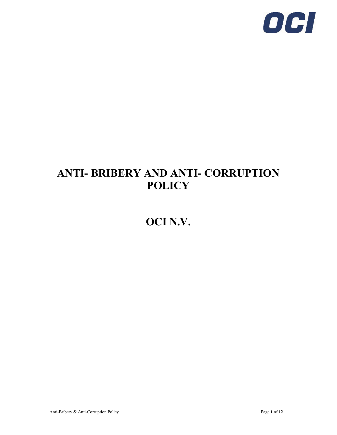

# **ANTI- BRIBERY AND ANTI- CORRUPTION POLICY**

# **OCI N.V.**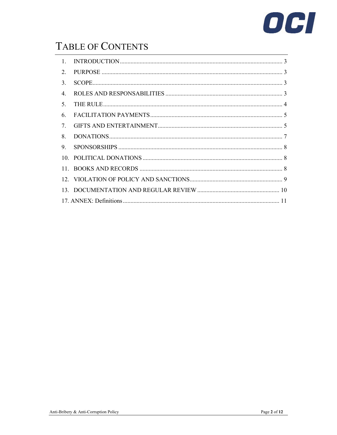

# TABLE OF CONTENTS

| $\mathbf{1}$                     |  |
|----------------------------------|--|
| 2.                               |  |
| 3.                               |  |
| 4.                               |  |
| 5.                               |  |
| 6.                               |  |
| $7_{\scriptscriptstyle{\ddots}}$ |  |
|                                  |  |
| 8.                               |  |
| 9.                               |  |
|                                  |  |
|                                  |  |
|                                  |  |
|                                  |  |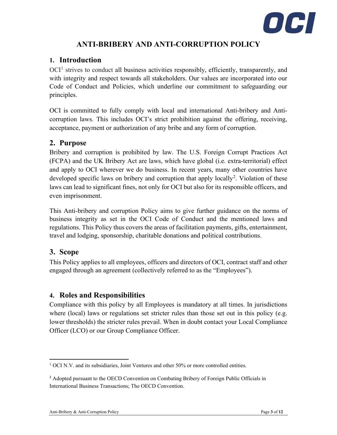

# **ANTI-BRIBERY AND ANTI-CORRUPTION POLICY**

## <span id="page-2-0"></span>**1. Introduction**

OCI<sup>[1](#page-2-4)</sup> strives to conduct all business activities responsibly, efficiently, transparently, and with integrity and respect towards all stakeholders. Our values are incorporated into our Code of Conduct and Policies, which underline our commitment to safeguarding our principles.

OCI is committed to fully comply with local and international Anti-bribery and Anticorruption laws. This includes OCI's strict prohibition against the offering, receiving, acceptance, payment or authorization of any bribe and any form of corruption.

## <span id="page-2-1"></span>**2. Purpose**

Bribery and corruption is prohibited by law. The U.S. Foreign Corrupt Practices Act (FCPA) and the UK Bribery Act are laws, which have global (i.e. extra-territorial) effect and apply to OCI wherever we do business. In recent years, many other countries have developed specific laws on bribery and corruption that apply locally<sup>[2](#page-2-5)</sup>. Violation of these laws can lead to significant fines, not only for OCI but also for its responsible officers, and even imprisonment.

This Anti-bribery and corruption Policy aims to give further guidance on the norms of business integrity as set in the OCI Code of Conduct and the mentioned laws and regulations. This Policy thus covers the areas of facilitation payments, gifts, entertainment, travel and lodging, sponsorship, charitable donations and political contributions.

# <span id="page-2-2"></span>**3. Scope**

This Policy applies to all employees, officers and directors of OCI, contract staff and other engaged through an agreement (collectively referred to as the "Employees").

# <span id="page-2-3"></span>**4. Roles and Responsibilities**

Compliance with this policy by all Employees is mandatory at all times. In jurisdictions where (local) laws or regulations set stricter rules than those set out in this policy (e.g. lower thresholds) the stricter rules prevail. When in doubt contact your Local Compliance Officer (LCO) or our Group Compliance Officer.

<span id="page-2-4"></span><sup>&</sup>lt;sup>1</sup> OCI N.V. and its subsidiaries, Joint Ventures and other 50% or more controlled entities.

<span id="page-2-5"></span><sup>&</sup>lt;sup>2</sup> Adopted pursuant to the OECD Convention on Combating Bribery of Foreign Public Officials in International Business Transactions; The OECD Convention.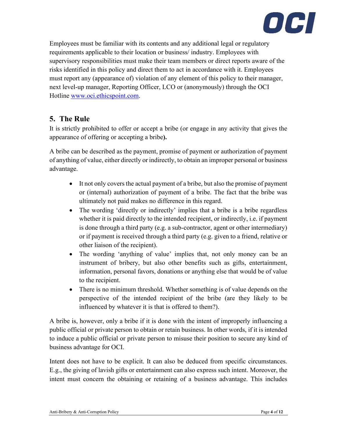

Employees must be familiar with its contents and any additional legal or regulatory requirements applicable to their location or business/ industry. Employees with supervisory responsibilities must make their team members or direct reports aware of the risks identified in this policy and direct them to act in accordance with it. Employees must report any (appearance of) violation of any element of this policy to their manager, next level-up manager, Reporting Officer, LCO or (anonymously) through the OCI Hotline [www.oci.ethicspoint.com.](http://www.oci.ethicspoint.com/)

# <span id="page-3-0"></span>**5. The Rule**

It is strictly prohibited to offer or accept a bribe (or engage in any activity that gives the appearance of offering or accepting a bribe**).** 

A bribe can be described as the payment, promise of payment or authorization of payment of anything of value, either directly or indirectly, to obtain an improper personal or business advantage.

- It not only covers the actual payment of a bribe, but also the promise of payment or (internal) authorization of payment of a bribe. The fact that the bribe was ultimately not paid makes no difference in this regard.
- The wording 'directly or indirectly' implies that a bribe is a bribe regardless whether it is paid directly to the intended recipient, or indirectly, i.e. if payment is done through a third party (e.g. a sub-contractor, agent or other intermediary) or if payment is received through a third party (e.g. given to a friend, relative or other liaison of the recipient).
- The wording 'anything of value' implies that, not only money can be an instrument of bribery, but also other benefits such as gifts, entertainment, information, personal favors, donations or anything else that would be of value to the recipient.
- There is no minimum threshold. Whether something is of value depends on the perspective of the intended recipient of the bribe (are they likely to be influenced by whatever it is that is offered to them?).

A bribe is, however, only a bribe if it is done with the intent of improperly influencing a public official or private person to obtain or retain business. In other words, if it is intended to induce a public official or private person to misuse their position to secure any kind of business advantage for OCI.

Intent does not have to be explicit. It can also be deduced from specific circumstances. E.g., the giving of lavish gifts or entertainment can also express such intent. Moreover, the intent must concern the obtaining or retaining of a business advantage. This includes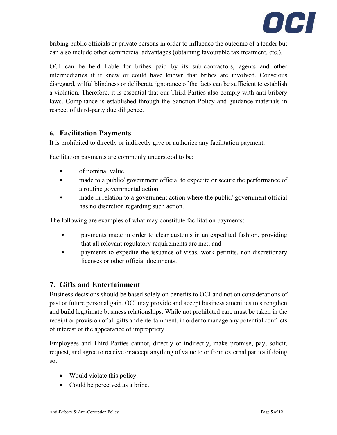

bribing public officials or private persons in order to influence the outcome of a tender but can also include other commercial advantages (obtaining favourable tax treatment, etc.).

OCI can be held liable for bribes paid by its sub-contractors, agents and other intermediaries if it knew or could have known that bribes are involved. Conscious disregard, wilful blindness or deliberate ignorance of the facts can be sufficient to establish a violation. Therefore, it is essential that our Third Parties also comply with anti-bribery laws. Compliance is established through the Sanction Policy and guidance materials in respect of third-party due diligence.

### <span id="page-4-0"></span>**6. Facilitation Payments**

It is prohibited to directly or indirectly give or authorize any facilitation payment.

Facilitation payments are commonly understood to be:

- of nominal value.
- made to a public/government official to expedite or secure the performance of a routine governmental action.
- made in relation to a government action where the public/ government official has no discretion regarding such action.

The following are examples of what may constitute facilitation payments:

- payments made in order to clear customs in an expedited fashion, providing that all relevant regulatory requirements are met; and
- payments to expedite the issuance of visas, work permits, non-discretionary licenses or other official documents.

# <span id="page-4-1"></span>**7. Gifts and Entertainment**

Business decisions should be based solely on benefits to OCI and not on considerations of past or future personal gain. OCI may provide and accept business amenities to strengthen and build legitimate business relationships. While not prohibited care must be taken in the receipt or provision of all gifts and entertainment, in order to manage any potential conflicts of interest or the appearance of impropriety.

Employees and Third Parties cannot, directly or indirectly, make promise, pay, solicit, request, and agree to receive or accept anything of value to or from external parties if doing so:

- Would violate this policy.
- Could be perceived as a bribe.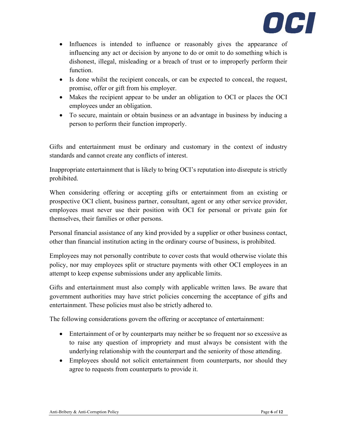

- Influences is intended to influence or reasonably gives the appearance of influencing any act or decision by anyone to do or omit to do something which is dishonest, illegal, misleading or a breach of trust or to improperly perform their function.
- Is done whilst the recipient conceals, or can be expected to conceal, the request, promise, offer or gift from his employer.
- Makes the recipient appear to be under an obligation to OCI or places the OCI employees under an obligation.
- To secure, maintain or obtain business or an advantage in business by inducing a person to perform their function improperly.

Gifts and entertainment must be ordinary and customary in the context of industry standards and cannot create any conflicts of interest.

Inappropriate entertainment that is likely to bring OCI's reputation into disrepute is strictly prohibited.

When considering offering or accepting gifts or entertainment from an existing or prospective OCI client, business partner, consultant, agent or any other service provider, employees must never use their position with OCI for personal or private gain for themselves, their families or other persons.

Personal financial assistance of any kind provided by a supplier or other business contact, other than financial institution acting in the ordinary course of business, is prohibited.

Employees may not personally contribute to cover costs that would otherwise violate this policy, nor may employees split or structure payments with other OCI employees in an attempt to keep expense submissions under any applicable limits.

Gifts and entertainment must also comply with applicable written laws. Be aware that government authorities may have strict policies concerning the acceptance of gifts and entertainment. These policies must also be strictly adhered to.

The following considerations govern the offering or acceptance of entertainment:

- Entertainment of or by counterparts may neither be so frequent nor so excessive as to raise any question of impropriety and must always be consistent with the underlying relationship with the counterpart and the seniority of those attending.
- Employees should not solicit entertainment from counterparts, nor should they agree to requests from counterparts to provide it.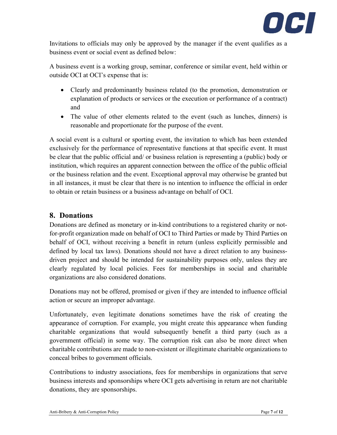

Invitations to officials may only be approved by the manager if the event qualifies as a business event or social event as defined below:

A business event is a working group, seminar, conference or similar event, held within or outside OCI at OCI's expense that is:

- Clearly and predominantly business related (to the promotion, demonstration or explanation of products or services or the execution or performance of a contract) and
- The value of other elements related to the event (such as lunches, dinners) is reasonable and proportionate for the purpose of the event.

A social event is a cultural or sporting event, the invitation to which has been extended exclusively for the performance of representative functions at that specific event. It must be clear that the public official and/ or business relation is representing a (public) body or institution, which requires an apparent connection between the office of the public official or the business relation and the event. Exceptional approval may otherwise be granted but in all instances, it must be clear that there is no intention to influence the official in order to obtain or retain business or a business advantage on behalf of OCI.

# <span id="page-6-0"></span>**8. Donations**

Donations are defined as monetary or in-kind contributions to a registered charity or notfor-profit organization made on behalf of OCI to Third Parties or made by Third Parties on behalf of OCI, without receiving a benefit in return (unless explicitly permissible and defined by local tax laws). Donations should not have a direct relation to any businessdriven project and should be intended for sustainability purposes only, unless they are clearly regulated by local policies. Fees for memberships in social and charitable organizations are also considered donations.

Donations may not be offered, promised or given if they are intended to influence official action or secure an improper advantage.

Unfortunately, even legitimate donations sometimes have the risk of creating the appearance of corruption. For example, you might create this appearance when funding charitable organizations that would subsequently benefit a third party (such as a government official) in some way. The corruption risk can also be more direct when charitable contributions are made to non-existent or illegitimate charitable organizations to conceal bribes to government officials.

Contributions to industry associations, fees for memberships in organizations that serve business interests and sponsorships where OCI gets advertising in return are not charitable donations, they are sponsorships.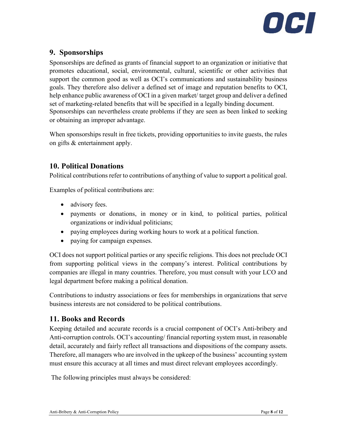

# <span id="page-7-0"></span>**9. Sponsorships**

Sponsorships are defined as grants of financial support to an organization or initiative that promotes educational, social, environmental, cultural, scientific or other activities that support the common good as well as OCI's communications and sustainability business goals. They therefore also deliver a defined set of image and reputation benefits to OCI, help enhance public awareness of OCI in a given market/ target group and deliver a defined set of marketing-related benefits that will be specified in a legally binding document. Sponsorships can nevertheless create problems if they are seen as been linked to seeking or obtaining an improper advantage.

When sponsorships result in free tickets, providing opportunities to invite guests, the rules on gifts & entertainment apply.

# <span id="page-7-1"></span>**10. Political Donations**

Political contributions refer to contributions of anything of value to support a political goal.

Examples of political contributions are:

- advisory fees.
- payments or donations, in money or in kind, to political parties, political organizations or individual politicians;
- paying employees during working hours to work at a political function.
- paying for campaign expenses.

OCI does not support political parties or any specific religions. This does not preclude OCI from supporting political views in the company's interest. Political contributions by companies are illegal in many countries. Therefore, you must consult with your LCO and legal department before making a political donation.

Contributions to industry associations or fees for memberships in organizations that serve business interests are not considered to be political contributions.

### <span id="page-7-2"></span>**11. Books and Records**

Keeping detailed and accurate records is a crucial component of OCI's Anti-bribery and Anti-corruption controls. OCI's accounting/ financial reporting system must, in reasonable detail, accurately and fairly reflect all transactions and dispositions of the company assets. Therefore, all managers who are involved in the upkeep of the business' accounting system must ensure this accuracy at all times and must direct relevant employees accordingly.

The following principles must always be considered: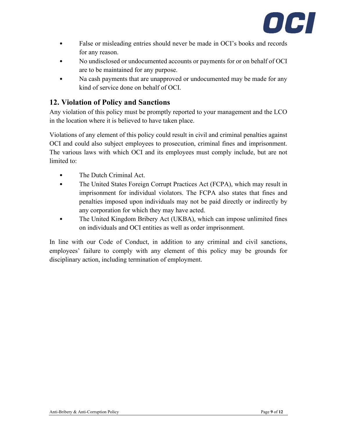

- False or misleading entries should never be made in OCI's books and records for any reason.
- No undisclosed or undocumented accounts or payments for or on behalf of OCI are to be maintained for any purpose.
- Na cash payments that are unapproved or undocumented may be made for any kind of service done on behalf of OCI.

# <span id="page-8-0"></span>**12. Violation of Policy and Sanctions**

Any violation of this policy must be promptly reported to your management and the LCO in the location where it is believed to have taken place.

Violations of any element of this policy could result in civil and criminal penalties against OCI and could also subject employees to prosecution, criminal fines and imprisonment. The various laws with which OCI and its employees must comply include, but are not limited to:

- The Dutch Criminal Act.
- The United States Foreign Corrupt Practices Act (FCPA), which may result in imprisonment for individual violators. The FCPA also states that fines and penalties imposed upon individuals may not be paid directly or indirectly by any corporation for which they may have acted.
- The United Kingdom Bribery Act (UKBA), which can impose unlimited fines on individuals and OCI entities as well as order imprisonment.

In line with our Code of Conduct, in addition to any criminal and civil sanctions, employees' failure to comply with any element of this policy may be grounds for disciplinary action, including termination of employment.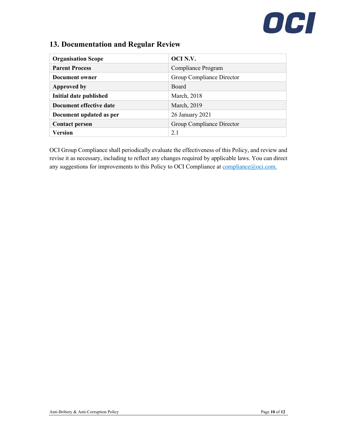# OCI

# <span id="page-9-0"></span>**13. Documentation and Regular Review**

| <b>Organisation Scope</b> | OCI N.V.                  |
|---------------------------|---------------------------|
| <b>Parent Process</b>     | Compliance Program        |
| Document owner            | Group Compliance Director |
| <b>Approved by</b>        | <b>Board</b>              |
| Initial date published    | March, 2018               |
| Document effective date   | March, 2019               |
| Document updated as per   | 26 January 2021           |
| <b>Contact person</b>     | Group Compliance Director |
| Version                   | 2.1                       |

OCI Group Compliance shall periodically evaluate the effectiveness of this Policy, and review and revise it as necessary, including to reflect any changes required by applicable laws. You can direct any suggestions for improvements to this Policy to OCI Compliance at compliance  $@oci.com$ .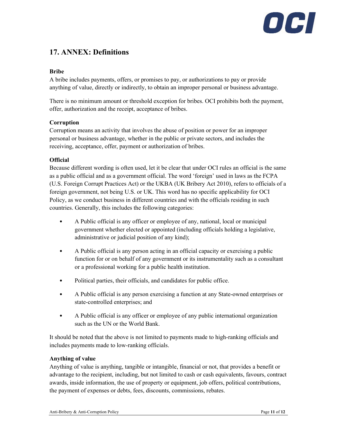# OCH

# <span id="page-10-0"></span>**17. ANNEX: Definitions**

#### **Bribe**

A bribe includes payments, offers, or promises to pay, or authorizations to pay or provide anything of value, directly or indirectly, to obtain an improper personal or business advantage.

There is no minimum amount or threshold exception for bribes. OCI prohibits both the payment, offer, authorization and the receipt, acceptance of bribes.

#### **Corruption**

Corruption means an activity that involves the abuse of position or power for an improper personal or business advantage, whether in the public or private sectors, and includes the receiving, acceptance, offer, payment or authorization of bribes.

#### **Official**

Because different wording is often used, let it be clear that under OCI rules an official is the same as a public official and as a government official. The word 'foreign' used in laws as the FCPA (U.S. Foreign Corrupt Practices Act) or the UKBA (UK Bribery Act 2010), refers to officials of a foreign government, not being U.S. or UK. This word has no specific applicability for OCI Policy, as we conduct business in different countries and with the officials residing in such countries. Generally, this includes the following categories:

- A Public official is any officer or employee of any, national, local or municipal government whether elected or appointed (including officials holding a legislative, administrative or judicial position of any kind);
- A Public official is any person acting in an official capacity or exercising a public function for or on behalf of any government or its instrumentality such as a consultant or a professional working for a public health institution.
- Political parties, their officials, and candidates for public office.
- A Public official is any person exercising a function at any State-owned enterprises or state-controlled enterprises; and
- A Public official is any officer or employee of any public international organization such as the UN or the World Bank.

It should be noted that the above is not limited to payments made to high-ranking officials and includes payments made to low-ranking officials.

#### **Anything of value**

Anything of value is anything, tangible or intangible, financial or not, that provides a benefit or advantage to the recipient, including, but not limited to cash or cash equivalents, favours, contract awards, inside information, the use of property or equipment, job offers, political contributions, the payment of expenses or debts, fees, discounts, commissions, rebates.